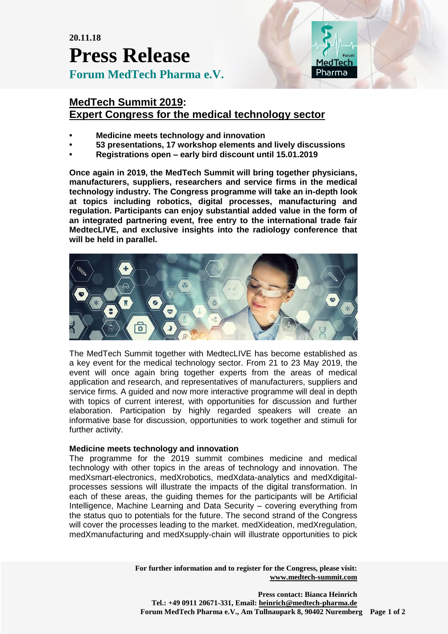**20.11.18 Press Release Forum MedTech Pharma e.V.**



## **MedTech Summit 2019: Expert Congress for the medical technology sector**

- **• Medicine meets technology and innovation**
- **• 53 presentations, 17 workshop elements and lively discussions**
- **• Registrations open – early bird discount until 15.01.2019**

**Once again in 2019, the MedTech Summit will bring together physicians, manufacturers, suppliers, researchers and service firms in the medical technology industry. The Congress programme will take an in-depth look at topics including robotics, digital processes, manufacturing and regulation. Participants can enjoy substantial added value in the form of an integrated partnering event, free entry to the international trade fair MedtecLIVE, and exclusive insights into the radiology conference that will be held in parallel.**



The MedTech Summit together with MedtecLIVE has become established as a key event for the medical technology sector. From 21 to 23 May 2019, the event will once again bring together experts from the areas of medical application and research, and representatives of manufacturers, suppliers and service firms. A guided and now more interactive programme will deal in depth with topics of current interest, with opportunities for discussion and further elaboration. Participation by highly regarded speakers will create an informative base for discussion, opportunities to work together and stimuli for further activity.

### **Medicine meets technology and innovation**

The programme for the 2019 summit combines medicine and medical technology with other topics in the areas of technology and innovation. The medXsmart-electronics, medXrobotics, medXdata-analytics and medXdigitalprocesses sessions will illustrate the impacts of the digital transformation. In each of these areas, the guiding themes for the participants will be Artificial Intelligence, Machine Learning and Data Security – covering everything from the status quo to potentials for the future. The second strand of the Congress will cover the processes leading to the market. medXideation, medXregulation, medXmanufacturing and medXsupply-chain will illustrate opportunities to pick

> **For further information and to register for the Congress, please visit: [www.medtech-summit.com](http://www.medtech-summit.com/)**

**Press contact: Bianca Heinrich Tel.: +49 0911 20671-331, Email: [heinrich@medtech-pharma.de](mailto:heinrich@medtech-pharma.de) Forum MedTech Pharma e.V., Am Tullnaupark 8, 90402 Nuremberg Page 1 of 2**